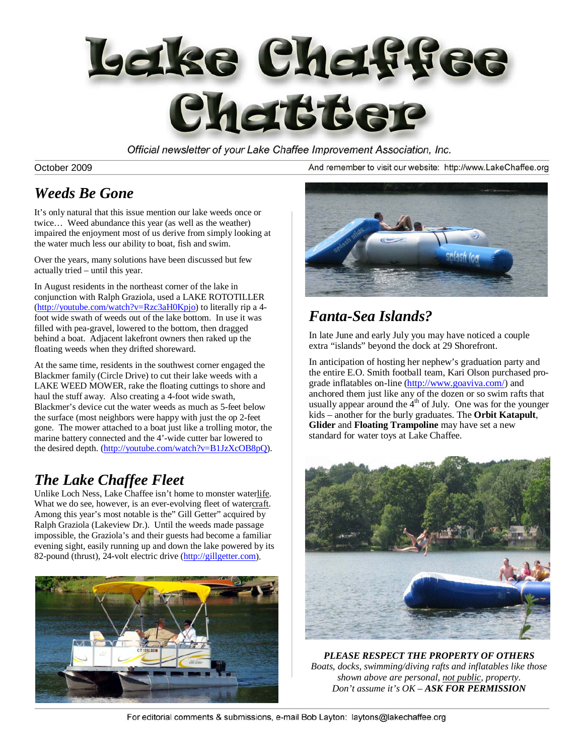

Official newsletter of your Lake Chaffee Improvement Association, Inc.

October 2009

### *Weeds Be Gone*

It's only natural that this issue mention our lake weeds once or twice… Weed abundance this year (as well as the weather) impaired the enjoyment most of us derive from simply looking at the water much less our ability to boat, fish and swim.

Over the years, many solutions have been discussed but few actually tried – until this year.

In August residents in the northeast corner of the lake in conjunction with Ralph Graziola, used a LAKE ROTOTILLER (http://youtube.com/watch?v=Rzc3aH0Kpjo) to literally rip a 4foot wide swath of weeds out of the lake bottom. In use it was filled with pea-gravel, lowered to the bottom, then dragged behind a boat. Adjacent lakefront owners then raked up the floating weeds when they drifted shoreward.

At the same time, residents in the southwest corner engaged the Blackmer family (Circle Drive) to cut their lake weeds with a LAKE WEED MOWER, rake the floating cuttings to shore and haul the stuff away. Also creating a 4-foot wide swath, Blackmer's device cut the water weeds as much as 5-feet below the surface (most neighbors were happy with just the op 2-feet gone. The mower attached to a boat just like a trolling motor, the marine battery connected and the 4'-wide cutter bar lowered to the desired depth. (http://youtube.com/watch?v=B1JzXcOB8pQ).

### *The Lake Chaffee Fleet*

Unlike Loch Ness, Lake Chaffee isn't home to monster waterlife. What we do see, however, is an ever-evolving fleet of watercraft. Among this year's most notable is the" Gill Getter" acquired by Ralph Graziola (Lakeview Dr.). Until the weeds made passage impossible, the Graziola's and their guests had become a familiar evening sight, easily running up and down the lake powered by its 82-pound (thrust), 24-volt electric drive (http://gillgetter.com).



And remember to visit our website: http://www.LakeChaffee.org



### *Fanta-Sea Islands?*

In late June and early July you may have noticed a couple extra "islands" beyond the dock at 29 Shorefront.

In anticipation of hosting her nephew's graduation party and the entire E.O. Smith football team, Kari Olson purchased prograde inflatables on-line (http://www.goaviva.com/) and anchored them just like any of the dozen or so swim rafts that usually appear around the  $4<sup>th</sup>$  of July. One was for the younger kids – another for the burly graduates. The **Orbit Katapult**, **Glider** and **Floating Trampoline** may have set a new standard for water toys at Lake Chaffee.



*PLEASE RESPECT THE PROPERTY OF OTHERS Boats, docks, swimming/diving rafts and inflatables like those shown above are personal, not public, property. Don't assume it's OK – ASK FOR PERMISSION*

For editorial comments & submissions, e-mail Bob Layton: laytons@lakechaffee.org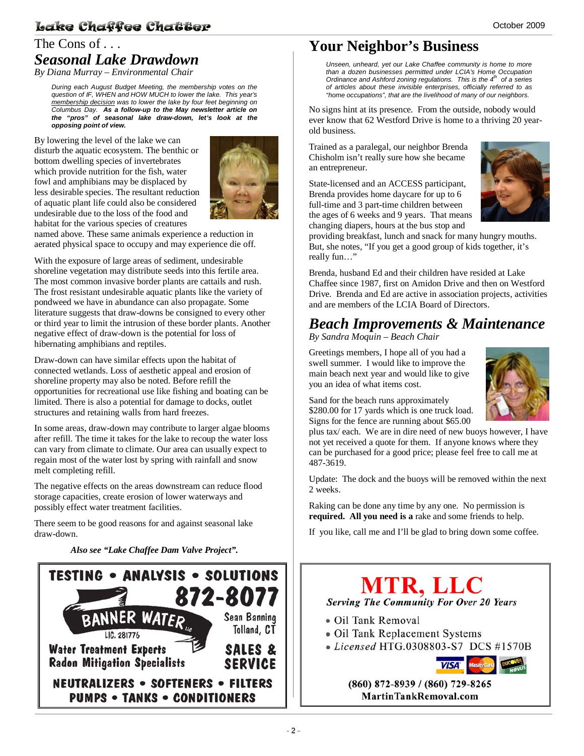#### Lake Chaffee Chatter

### The Cons of ... *Seasonal Lake Drawdown*

*By Diana Murray – Environmental Chair* 

*During each August Budget Meeting, the membership votes on the question of IF, WHEN and HOW MUCH to lower the lake. This year's membership decision was to lower the lake by four feet beginning on Columbus Day. As a follow-up to the May newsletter article on the "pros" of seasonal lake draw-down, let's look at the opposing point of view.* 

By lowering the level of the lake we can disturb the aquatic ecosystem. The benthic or bottom dwelling species of invertebrates which provide nutrition for the fish, water fowl and amphibians may be displaced by less desirable species. The resultant reduction of aquatic plant life could also be considered undesirable due to the loss of the food and habitat for the various species of creatures



named above. These same animals experience a reduction in aerated physical space to occupy and may experience die off.

With the exposure of large areas of sediment, undesirable shoreline vegetation may distribute seeds into this fertile area. The most common invasive border plants are cattails and rush. The frost resistant undesirable aquatic plants like the variety of pondweed we have in abundance can also propagate. Some literature suggests that draw-downs be consigned to every other or third year to limit the intrusion of these border plants. Another negative effect of draw-down is the potential for loss of hibernating amphibians and reptiles.

Draw-down can have similar effects upon the habitat of connected wetlands. Loss of aesthetic appeal and erosion of shoreline property may also be noted. Before refill the opportunities for recreational use like fishing and boating can be limited. There is also a potential for damage to docks, outlet structures and retaining walls from hard freezes.

In some areas, draw-down may contribute to larger algae blooms after refill. The time it takes for the lake to recoup the water loss can vary from climate to climate. Our area can usually expect to regain most of the water lost by spring with rainfall and snow melt completing refill.

The negative effects on the areas downstream can reduce flood storage capacities, create erosion of lower waterways and possibly effect water treatment facilities.

There seem to be good reasons for and against seasonal lake draw-down.

*Also see "Lake Chaffee Dam Valve Project".*



### **Your Neighbor's Business**

*Unseen, unheard, yet our Lake Chaffee community is home to more than a dozen businesses permitted under LCIA's Home Occupation Ordinance and Ashford zoning regulations. This is the 4th of a series of articles about these invisible enterprises, officially referred to as "home occupations", that are the livelihood of many of our neighbors.*

No signs hint at its presence. From the outside, nobody would ever know that 62 Westford Drive is home to a thriving 20 yearold business.

Trained as a paralegal, our neighbor Brenda Chisholm isn't really sure how she became an entrepreneur.

State-licensed and an ACCESS participant, Brenda provides home daycare for up to 6 full-time and 3 part-time children between the ages of 6 weeks and 9 years. That means changing diapers, hours at the bus stop and



providing breakfast, lunch and snack for many hungry mouths. But, she notes, "If you get a good group of kids together, it's really fun…"

Brenda, husband Ed and their children have resided at Lake Chaffee since 1987, first on Amidon Drive and then on Westford Drive. Brenda and Ed are active in association projects, activities and are members of the LCIA Board of Directors.

### *Beach Improvements & Maintenance*

*By Sandra Moquin – Beach Chair* 

Greetings members, I hope all of you had a swell summer. I would like to improve the main beach next year and would like to give you an idea of what items cost.



Sand for the beach runs approximately \$280.00 for 17 yards which is one truck load. Signs for the fence are running about \$65.00

plus tax/ each. We are in dire need of new buoys however, I have not yet received a quote for them. If anyone knows where they can be purchased for a good price; please feel free to call me at 487-3619.

Update: The dock and the buoys will be removed within the next 2 weeks.

Raking can be done any time by any one. No permission is **required. All you need is a** rake and some friends to help.

If you like, call me and I'll be glad to bring down some coffee.

## **MTR, LLC Serving The Community For Over 20 Years**

- · Oil Tank Removal
- Oil Tank Replacement Systems
- Licensed HTG.0308803-S7 DCS #1570B



(860) 872-8939 / (860) 729-8265 **MartinTankRemoval.com**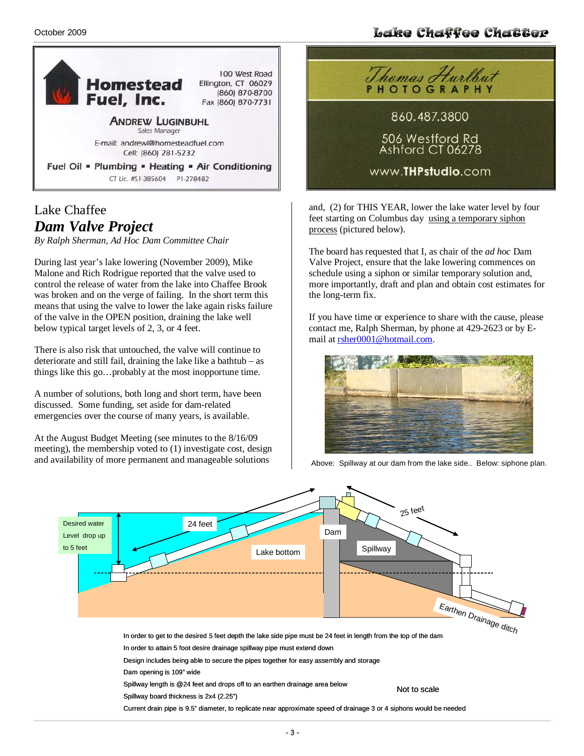#### Lake Chaffee Chatter



#### Lake Chaffee *Dam Valve Project*

*By Ralph Sherman, Ad Hoc Dam Committee Chair* 

During last year's lake lowering (November 2009), Mike Malone and Rich Rodrigue reported that the valve used to control the release of water from the lake into Chaffee Brook was broken and on the verge of failing. In the short term this means that using the valve to lower the lake again risks failure of the valve in the OPEN position, draining the lake well below typical target levels of 2, 3, or 4 feet.

There is also risk that untouched, the valve will continue to deteriorate and still fail, draining the lake like a bathtub – as things like this go…probably at the most inopportune time.

A number of solutions, both long and short term, have been discussed. Some funding, set aside for dam-related emergencies over the course of many years, is available.

At the August Budget Meeting (see minutes to the 8/16/09 meeting), the membership voted to (1) investigate cost, design and availability of more permanent and manageable solutions



and, (2) for THIS YEAR, lower the lake water level by four feet starting on Columbus day using a temporary siphon process (pictured below).

The board has requested that I, as chair of the *ad hoc* Dam Valve Project, ensure that the lake lowering commences on schedule using a siphon or similar temporary solution and, more importantly, draft and plan and obtain cost estimates for the long-term fix.

If you have time or experience to share with the cause, please contact me, Ralph Sherman, by phone at 429-2623 or by Email at rsher0001@hotmail.com.



Above: Spillway at our dam from the lake side.. Below: siphone plan.

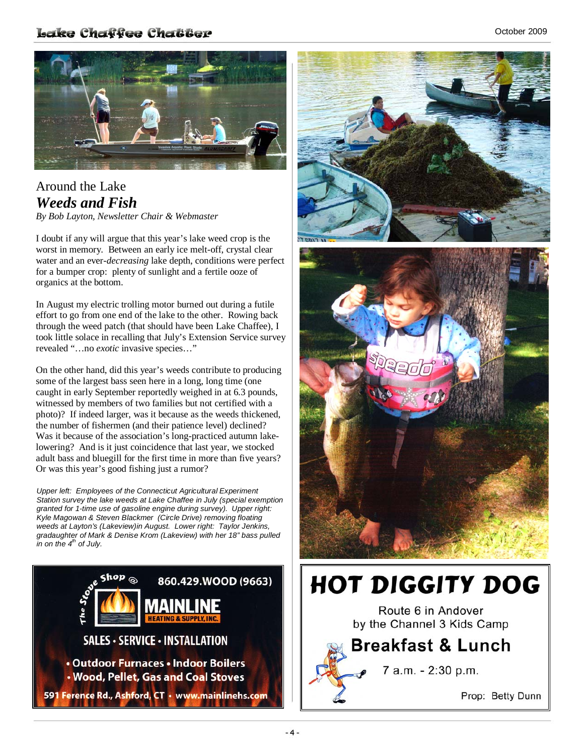#### Lake Chaffee Chatter



### Around the Lake *Weeds and Fish*

*By Bob Layton, Newsletter Chair & Webmaster*

I doubt if any will argue that this year's lake weed crop is the worst in memory. Between an early ice melt-off, crystal clear water and an ever-*decreasing* lake depth, conditions were perfect for a bumper crop: plenty of sunlight and a fertile ooze of organics at the bottom.

In August my electric trolling motor burned out during a futile effort to go from one end of the lake to the other. Rowing back through the weed patch (that should have been Lake Chaffee), I took little solace in recalling that July's Extension Service survey revealed "…no *exotic* invasive species…"

On the other hand, did this year's weeds contribute to producing some of the largest bass seen here in a long, long time (one caught in early September reportedly weighed in at 6.3 pounds, witnessed by members of two families but not certified with a photo)? If indeed larger, was it because as the weeds thickened, the number of fishermen (and their patience level) declined? Was it because of the association's long-practiced autumn lakelowering? And is it just coincidence that last year, we stocked adult bass and bluegill for the first time in more than five years? Or was this year's good fishing just a rumor?

*Upper left: Employees of the Connecticut Agricultural Experiment Station survey the lake weeds at Lake Chaffee in July (special exemption granted for 1-time use of gasoline engine during survey). Upper right: Kyle Magowan & Steven Blackmer (Circle Drive) removing floating weeds at Layton's (Lakeview)in August. Lower right: Taylor Jenkins, gradaughter of Mark & Denise Krom (Lakeview) with her 18" bass pulled*   $\overline{a}$ *in on the 4<sup>th</sup> of July.* 





# **HOT DIGGITY DOG**

Route 6 in Andover by the Channel 3 Kids Camp

### **Breakfast & Lunch**



7 a.m. - 2:30 p.m.

Prop: Betty Dunn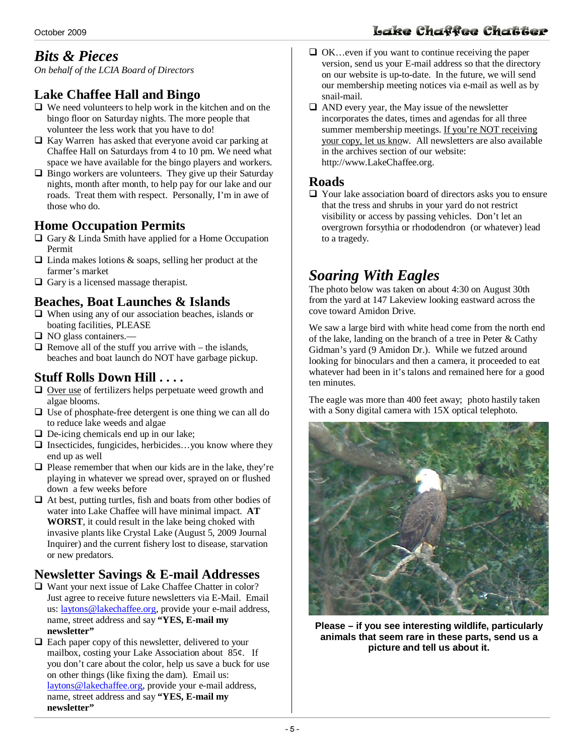### *Bits & Pieces*

*On behalf of the LCIA Board of Directors* 

#### **Lake Chaffee Hall and Bingo**

- $\Box$  We need volunteers to help work in the kitchen and on the bingo floor on Saturday nights. The more people that volunteer the less work that you have to do!
- $\Box$  Kay Warren has asked that everyone avoid car parking at Chaffee Hall on Saturdays from 4 to 10 pm. We need what space we have available for the bingo players and workers.
- $\Box$  Bingo workers are volunteers. They give up their Saturday nights, month after month, to help pay for our lake and our roads. Treat them with respect. Personally, I'm in awe of those who do.

#### **Home Occupation Permits**

- $\Box$  Gary & Linda Smith have applied for a Home Occupation Permit
- $\Box$  Linda makes lotions & soaps, selling her product at the farmer's market
- $\Box$  Gary is a licensed massage therapist.

#### **Beaches, Boat Launches & Islands**

- $\Box$  When using any of our association beaches, islands or boating facilities, PLEASE
- □ NO glass containers.—
- $\Box$  Remove all of the stuff you arrive with the islands, beaches and boat launch do NOT have garbage pickup.

#### **Stuff Rolls Down Hill . . . .**

- $\Box$  Over use of fertilizers helps perpetuate weed growth and algae blooms.
- $\Box$  Use of phosphate-free detergent is one thing we can all do to reduce lake weeds and algae
- $\Box$  De-icing chemicals end up in our lake;
- $\Box$  Insecticides, fungicides, herbicides...you know where they end up as well
- $\Box$  Please remember that when our kids are in the lake, they're playing in whatever we spread over, sprayed on or flushed down a few weeks before
- $\Box$  At best, putting turtles, fish and boats from other bodies of water into Lake Chaffee will have minimal impact. **AT WORST**, it could result in the lake being choked with invasive plants like Crystal Lake (August 5, 2009 Journal Inquirer) and the current fishery lost to disease, starvation or new predators.

#### **Newsletter Savings & E-mail Addresses**

- $\Box$  Want your next issue of Lake Chaffee Chatter in color? Just agree to receive future newsletters via E-Mail. Email us: laytons@lakechaffee.org, provide your e-mail address, name, street address and say **"YES, E-mail my newsletter"**
- $\Box$  Each paper copy of this newsletter, delivered to your mailbox, costing your Lake Association about 85¢. If you don't care about the color, help us save a buck for use on other things (like fixing the dam). Email us: laytons@lakechaffee.org, provide your e-mail address, name, street address and say **"YES, E-mail my newsletter"**
- $\Box$  OK... even if you want to continue receiving the paper version, send us your E-mail address so that the directory on our website is up-to-date. In the future, we will send our membership meeting notices via e-mail as well as by snail-mail.
- $\Box$  AND every year, the May issue of the newsletter incorporates the dates, times and agendas for all three summer membership meetings. If you're NOT receiving your copy, let us know. All newsletters are also available in the archives section of our website: http://www.LakeChaffee.org.

#### **Roads**

 Your lake association board of directors asks you to ensure that the tress and shrubs in your yard do not restrict visibility or access by passing vehicles. Don't let an overgrown forsythia or rhododendron (or whatever) lead to a tragedy.

### *Soaring With Eagles*

The photo below was taken on about 4:30 on August 30th from the yard at 147 Lakeview looking eastward across the cove toward Amidon Drive.

We saw a large bird with white head come from the north end of the lake, landing on the branch of a tree in Peter & Cathy Gidman's yard (9 Amidon Dr.). While we futzed around looking for binoculars and then a camera, it proceeded to eat whatever had been in it's talons and remained here for a good ten minutes.

The eagle was more than 400 feet away; photo hastily taken with a Sony digital camera with 15X optical telephoto.



**Please – if you see interesting wildlife, particularly animals that seem rare in these parts, send us a picture and tell us about it.** 

### Lake Chaffee Chatter